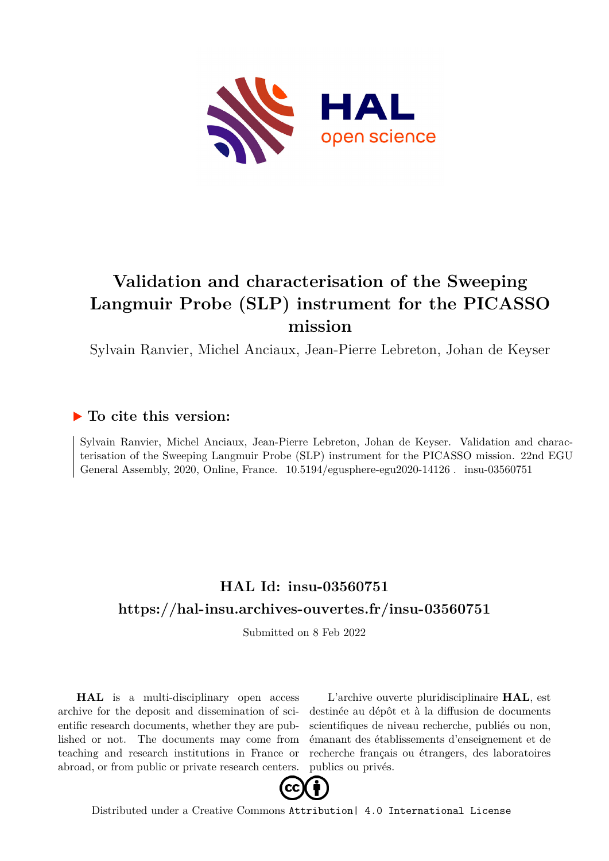

## **Validation and characterisation of the Sweeping Langmuir Probe (SLP) instrument for the PICASSO mission**

Sylvain Ranvier, Michel Anciaux, Jean-Pierre Lebreton, Johan de Keyser

## **To cite this version:**

Sylvain Ranvier, Michel Anciaux, Jean-Pierre Lebreton, Johan de Keyser. Validation and characterisation of the Sweeping Langmuir Probe (SLP) instrument for the PICASSO mission. 22nd EGU General Assembly, 2020, Online, France.  $10.5194$ /egusphere-egu2020-14126. insu-03560751

## **HAL Id: insu-03560751 <https://hal-insu.archives-ouvertes.fr/insu-03560751>**

Submitted on 8 Feb 2022

**HAL** is a multi-disciplinary open access archive for the deposit and dissemination of scientific research documents, whether they are published or not. The documents may come from teaching and research institutions in France or abroad, or from public or private research centers.

L'archive ouverte pluridisciplinaire **HAL**, est destinée au dépôt et à la diffusion de documents scientifiques de niveau recherche, publiés ou non, émanant des établissements d'enseignement et de recherche français ou étrangers, des laboratoires publics ou privés.



Distributed under a Creative Commons [Attribution| 4.0 International License](http://creativecommons.org/licenses/by/4.0/)